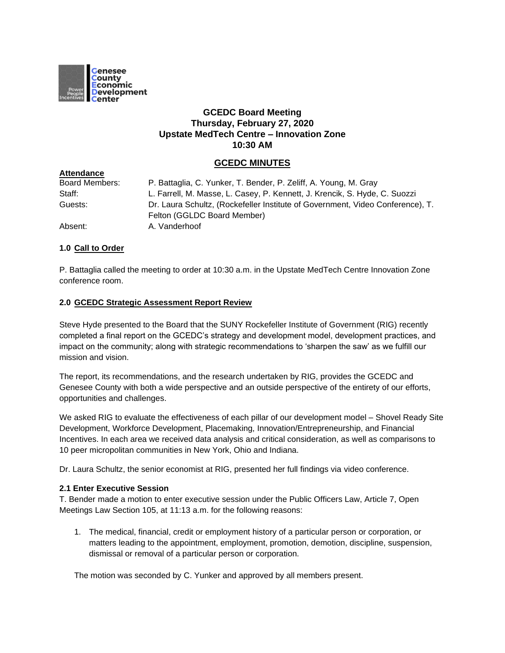

# **GCEDC Board Meeting Thursday, February 27, 2020 Upstate MedTech Centre – Innovation Zone 10:30 AM**

## **GCEDC MINUTES**

| <b>Attendance</b>     |                                                                                |
|-----------------------|--------------------------------------------------------------------------------|
| <b>Board Members:</b> | P. Battaglia, C. Yunker, T. Bender, P. Zeliff, A. Young, M. Gray               |
| Staff:                | L. Farrell, M. Masse, L. Casey, P. Kennett, J. Krencik, S. Hyde, C. Suozzi     |
| Guests:               | Dr. Laura Schultz, (Rockefeller Institute of Government, Video Conference), T. |
|                       | Felton (GGLDC Board Member)                                                    |
| Absent:               | A. Vanderhoof                                                                  |

## **1.0 Call to Order**

P. Battaglia called the meeting to order at 10:30 a.m. in the Upstate MedTech Centre Innovation Zone conference room.

#### **2.0 GCEDC Strategic Assessment Report Review**

Steve Hyde presented to the Board that the SUNY Rockefeller Institute of Government (RIG) recently completed a final report on the GCEDC's strategy and development model, development practices, and impact on the community; along with strategic recommendations to 'sharpen the saw' as we fulfill our mission and vision.

The report, its recommendations, and the research undertaken by RIG, provides the GCEDC and Genesee County with both a wide perspective and an outside perspective of the entirety of our efforts, opportunities and challenges.

We asked RIG to evaluate the effectiveness of each pillar of our development model – Shovel Ready Site Development, Workforce Development, Placemaking, Innovation/Entrepreneurship, and Financial Incentives. In each area we received data analysis and critical consideration, as well as comparisons to 10 peer micropolitan communities in New York, Ohio and Indiana.

Dr. Laura Schultz, the senior economist at RIG, presented her full findings via video conference.

## **2.1 Enter Executive Session**

T. Bender made a motion to enter executive session under the Public Officers Law, Article 7, Open Meetings Law Section 105, at 11:13 a.m. for the following reasons:

1. The medical, financial, credit or employment history of a particular person or corporation, or matters leading to the appointment, employment, promotion, demotion, discipline, suspension, dismissal or removal of a particular person or corporation.

The motion was seconded by C. Yunker and approved by all members present.